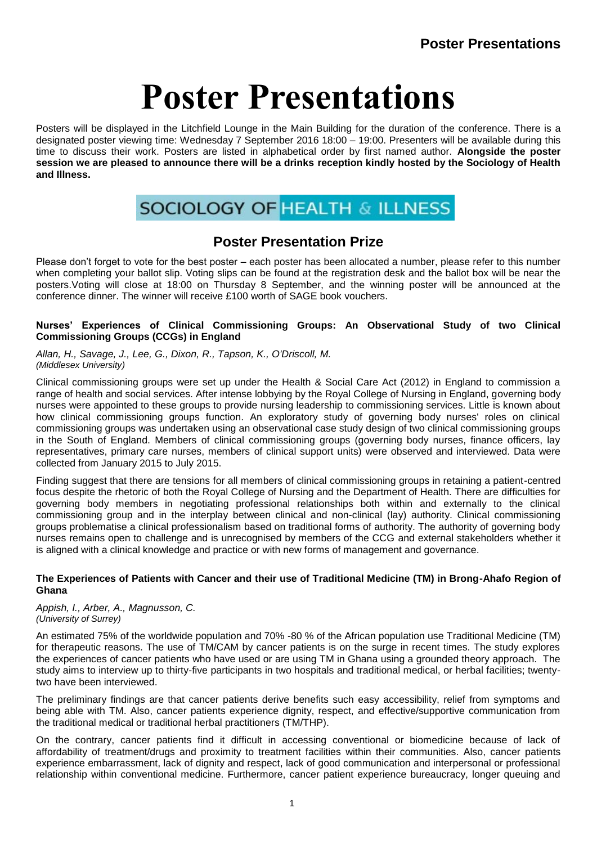Posters will be displayed in the Litchfield Lounge in the Main Building for the duration of the conference. There is a designated poster viewing time: Wednesday 7 September 2016 18:00 – 19:00. Presenters will be available during this time to discuss their work. Posters are listed in alphabetical order by first named author. **Alongside the poster session we are pleased to announce there will be a drinks reception kindly hosted by the Sociology of Health and Illness.**



# **Poster Presentation Prize**

Please don't forget to vote for the best poster – each poster has been allocated a number, please refer to this number when completing your ballot slip. Voting slips can be found at the registration desk and the ballot box will be near the posters.Voting will close at 18:00 on Thursday 8 September, and the winning poster will be announced at the conference dinner. The winner will receive £100 worth of SAGE book vouchers.

# **Nurses' Experiences of Clinical Commissioning Groups: An Observational Study of two Clinical Commissioning Groups (CCGs) in England**

*Allan, H., Savage, J., Lee, G., Dixon, R., Tapson, K., O'Driscoll, M. (Middlesex University)*

Clinical commissioning groups were set up under the Health & Social Care Act (2012) in England to commission a range of health and social services. After intense lobbying by the Royal College of Nursing in England, governing body nurses were appointed to these groups to provide nursing leadership to commissioning services. Little is known about how clinical commissioning groups function. An exploratory study of governing body nurses' roles on clinical commissioning groups was undertaken using an observational case study design of two clinical commissioning groups in the South of England. Members of clinical commissioning groups (governing body nurses, finance officers, lay representatives, primary care nurses, members of clinical support units) were observed and interviewed. Data were collected from January 2015 to July 2015.

Finding suggest that there are tensions for all members of clinical commissioning groups in retaining a patient-centred focus despite the rhetoric of both the Royal College of Nursing and the Department of Health. There are difficulties for governing body members in negotiating professional relationships both within and externally to the clinical commissioning group and in the interplay between clinical and non-clinical (lay) authority. Clinical commissioning groups problematise a clinical professionalism based on traditional forms of authority. The authority of governing body nurses remains open to challenge and is unrecognised by members of the CCG and external stakeholders whether it is aligned with a clinical knowledge and practice or with new forms of management and governance.

#### **The Experiences of Patients with Cancer and their use of Traditional Medicine (TM) in Brong-Ahafo Region of Ghana**

*Appish, I., Arber, A., Magnusson, C. (University of Surrey)*

An estimated 75% of the worldwide population and 70% -80 % of the African population use Traditional Medicine (TM) for therapeutic reasons. The use of TM/CAM by cancer patients is on the surge in recent times. The study explores the experiences of cancer patients who have used or are using TM in Ghana using a grounded theory approach. The study aims to interview up to thirty-five participants in two hospitals and traditional medical, or herbal facilities; twentytwo have been interviewed.

The preliminary findings are that cancer patients derive benefits such easy accessibility, relief from symptoms and being able with TM. Also, cancer patients experience dignity, respect, and effective/supportive communication from the traditional medical or traditional herbal practitioners (TM/THP).

On the contrary, cancer patients find it difficult in accessing conventional or biomedicine because of lack of affordability of treatment/drugs and proximity to treatment facilities within their communities. Also, cancer patients experience embarrassment, lack of dignity and respect, lack of good communication and interpersonal or professional relationship within conventional medicine. Furthermore, cancer patient experience bureaucracy, longer queuing and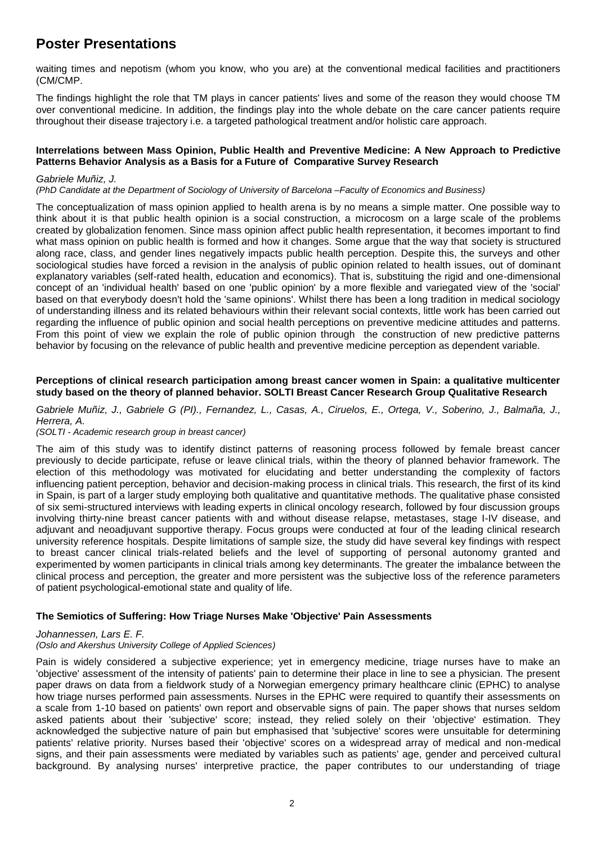waiting times and nepotism (whom you know, who you are) at the conventional medical facilities and practitioners (CM/CMP.

The findings highlight the role that TM plays in cancer patients' lives and some of the reason they would choose TM over conventional medicine. In addition, the findings play into the whole debate on the care cancer patients require throughout their disease trajectory i.e. a targeted pathological treatment and/or holistic care approach.

# **Interrelations between Mass Opinion, Public Health and Preventive Medicine: A New Approach to Predictive Patterns Behavior Analysis as a Basis for a Future of Comparative Survey Research**

#### *Gabriele Muñiz, J.*

*(PhD Candidate at the Department of Sociology of University of Barcelona –Faculty of Economics and Business)*

The conceptualization of mass opinion applied to health arena is by no means a simple matter. One possible way to think about it is that public health opinion is a social construction, a microcosm on a large scale of the problems created by globalization fenomen. Since mass opinion affect public health representation, it becomes important to find what mass opinion on public health is formed and how it changes. Some argue that the way that society is structured along race, class, and gender lines negatively impacts public health perception. Despite this, the surveys and other sociological studies have forced a revision in the analysis of public opinion related to health issues, out of dominant explanatory variables (self-rated health, education and economics). That is, substituing the rigid and one-dimensional concept of an 'individual health' based on one 'public opinion' by a more flexible and variegated view of the 'social' based on that everybody doesn't hold the 'same opinions'. Whilst there has been a long tradition in medical sociology of understanding illness and its related behaviours within their relevant social contexts, little work has been carried out regarding the influence of public opinion and social health perceptions on preventive medicine attitudes and patterns. From this point of view we explain the role of public opinion through the construction of new predictive patterns behavior by focusing on the relevance of public health and preventive medicine perception as dependent variable.

## **Perceptions of clinical research participation among breast cancer women in Spain: a qualitative multicenter study based on the theory of planned behavior. SOLTI Breast Cancer Research Group Qualitative Research**

*Gabriele Muñiz, J., Gabriele G (PI)., Fernandez, L., Casas, A., Ciruelos, E., Ortega, V., Soberino, J., Balmaña, J., Herrera, A.*

#### *(SOLTI - Academic research group in breast cancer)*

The aim of this study was to identify distinct patterns of reasoning process followed by female breast cancer previously to decide participate, refuse or leave clinical trials, within the theory of planned behavior framework. The election of this methodology was motivated for elucidating and better understanding the complexity of factors influencing patient perception, behavior and decision-making process in clinical trials. This research, the first of its kind in Spain, is part of a larger study employing both qualitative and quantitative methods. The qualitative phase consisted of six semi-structured interviews with leading experts in clinical oncology research, followed by four discussion groups involving thirty-nine breast cancer patients with and without disease relapse, metastases, stage I-IV disease, and adjuvant and neoadjuvant supportive therapy. Focus groups were conducted at four of the leading clinical research university reference hospitals. Despite limitations of sample size, the study did have several key findings with respect to breast cancer clinical trials-related beliefs and the level of supporting of personal autonomy granted and experimented by women participants in clinical trials among key determinants. The greater the imbalance between the clinical process and perception, the greater and more persistent was the subjective loss of the reference parameters of patient psychological-emotional state and quality of life.

# **The Semiotics of Suffering: How Triage Nurses Make 'Objective' Pain Assessments**

#### *Johannessen, Lars E. F.*

#### *(Oslo and Akershus University College of Applied Sciences)*

Pain is widely considered a subjective experience; yet in emergency medicine, triage nurses have to make an 'objective' assessment of the intensity of patients' pain to determine their place in line to see a physician. The present paper draws on data from a fieldwork study of a Norwegian emergency primary healthcare clinic (EPHC) to analyse how triage nurses performed pain assessments. Nurses in the EPHC were required to quantify their assessments on a scale from 1-10 based on patients' own report and observable signs of pain. The paper shows that nurses seldom asked patients about their 'subjective' score; instead, they relied solely on their 'objective' estimation. They acknowledged the subjective nature of pain but emphasised that 'subjective' scores were unsuitable for determining patients' relative priority. Nurses based their 'objective' scores on a widespread array of medical and non-medical signs, and their pain assessments were mediated by variables such as patients' age, gender and perceived cultural background. By analysing nurses' interpretive practice, the paper contributes to our understanding of triage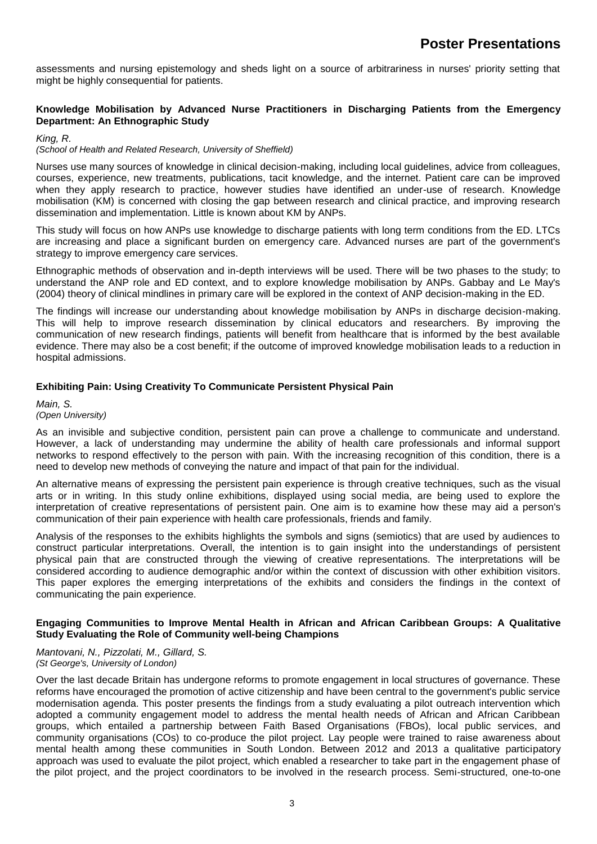assessments and nursing epistemology and sheds light on a source of arbitrariness in nurses' priority setting that might be highly consequential for patients.

# **Knowledge Mobilisation by Advanced Nurse Practitioners in Discharging Patients from the Emergency Department: An Ethnographic Study**

#### *King, R.*

## *(School of Health and Related Research, University of Sheffield)*

Nurses use many sources of knowledge in clinical decision-making, including local guidelines, advice from colleagues, courses, experience, new treatments, publications, tacit knowledge, and the internet. Patient care can be improved when they apply research to practice, however studies have identified an under-use of research. Knowledge mobilisation (KM) is concerned with closing the gap between research and clinical practice, and improving research dissemination and implementation. Little is known about KM by ANPs.

This study will focus on how ANPs use knowledge to discharge patients with long term conditions from the ED. LTCs are increasing and place a significant burden on emergency care. Advanced nurses are part of the government's strategy to improve emergency care services.

Ethnographic methods of observation and in-depth interviews will be used. There will be two phases to the study; to understand the ANP role and ED context, and to explore knowledge mobilisation by ANPs. Gabbay and Le May's (2004) theory of clinical mindlines in primary care will be explored in the context of ANP decision-making in the ED.

The findings will increase our understanding about knowledge mobilisation by ANPs in discharge decision-making. This will help to improve research dissemination by clinical educators and researchers. By improving the communication of new research findings, patients will benefit from healthcare that is informed by the best available evidence. There may also be a cost benefit; if the outcome of improved knowledge mobilisation leads to a reduction in hospital admissions.

#### **Exhibiting Pain: Using Creativity To Communicate Persistent Physical Pain**

*Main, S. (Open University)*

As an invisible and subjective condition, persistent pain can prove a challenge to communicate and understand. However, a lack of understanding may undermine the ability of health care professionals and informal support networks to respond effectively to the person with pain. With the increasing recognition of this condition, there is a need to develop new methods of conveying the nature and impact of that pain for the individual.

An alternative means of expressing the persistent pain experience is through creative techniques, such as the visual arts or in writing. In this study online exhibitions, displayed using social media, are being used to explore the interpretation of creative representations of persistent pain. One aim is to examine how these may aid a person's communication of their pain experience with health care professionals, friends and family.

Analysis of the responses to the exhibits highlights the symbols and signs (semiotics) that are used by audiences to construct particular interpretations. Overall, the intention is to gain insight into the understandings of persistent physical pain that are constructed through the viewing of creative representations. The interpretations will be considered according to audience demographic and/or within the context of discussion with other exhibition visitors. This paper explores the emerging interpretations of the exhibits and considers the findings in the context of communicating the pain experience.

#### **Engaging Communities to Improve Mental Health in African and African Caribbean Groups: A Qualitative Study Evaluating the Role of Community well-being Champions**

*Mantovani, N., Pizzolati, M., Gillard, S. (St George's, University of London)*

Over the last decade Britain has undergone reforms to promote engagement in local structures of governance. These reforms have encouraged the promotion of active citizenship and have been central to the government's public service modernisation agenda. This poster presents the findings from a study evaluating a pilot outreach intervention which adopted a community engagement model to address the mental health needs of African and African Caribbean groups, which entailed a partnership between Faith Based Organisations (FBOs), local public services, and community organisations (COs) to co-produce the pilot project. Lay people were trained to raise awareness about mental health among these communities in South London. Between 2012 and 2013 a qualitative participatory approach was used to evaluate the pilot project, which enabled a researcher to take part in the engagement phase of the pilot project, and the project coordinators to be involved in the research process. Semi-structured, one-to-one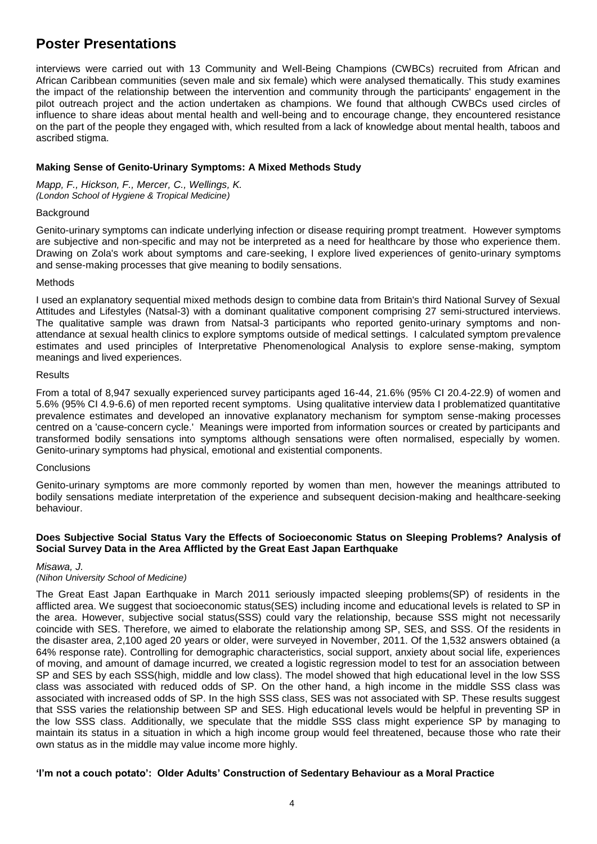interviews were carried out with 13 Community and Well-Being Champions (CWBCs) recruited from African and African Caribbean communities (seven male and six female) which were analysed thematically. This study examines the impact of the relationship between the intervention and community through the participants' engagement in the pilot outreach project and the action undertaken as champions. We found that although CWBCs used circles of influence to share ideas about mental health and well-being and to encourage change, they encountered resistance on the part of the people they engaged with, which resulted from a lack of knowledge about mental health, taboos and ascribed stigma.

# **Making Sense of Genito-Urinary Symptoms: A Mixed Methods Study**

*Mapp, F., Hickson, F., Mercer, C., Wellings, K. (London School of Hygiene & Tropical Medicine)*

## **Background**

Genito-urinary symptoms can indicate underlying infection or disease requiring prompt treatment. However symptoms are subjective and non-specific and may not be interpreted as a need for healthcare by those who experience them. Drawing on Zola's work about symptoms and care-seeking, I explore lived experiences of genito-urinary symptoms and sense-making processes that give meaning to bodily sensations.

#### Methods

I used an explanatory sequential mixed methods design to combine data from Britain's third National Survey of Sexual Attitudes and Lifestyles (Natsal-3) with a dominant qualitative component comprising 27 semi-structured interviews. The qualitative sample was drawn from Natsal-3 participants who reported genito-urinary symptoms and nonattendance at sexual health clinics to explore symptoms outside of medical settings. I calculated symptom prevalence estimates and used principles of Interpretative Phenomenological Analysis to explore sense-making, symptom meanings and lived experiences.

#### **Results**

From a total of 8,947 sexually experienced survey participants aged 16-44, 21.6% (95% CI 20.4-22.9) of women and 5.6% (95% CI 4.9-6.6) of men reported recent symptoms. Using qualitative interview data I problematized quantitative prevalence estimates and developed an innovative explanatory mechanism for symptom sense-making processes centred on a 'cause-concern cycle.' Meanings were imported from information sources or created by participants and transformed bodily sensations into symptoms although sensations were often normalised, especially by women. Genito-urinary symptoms had physical, emotional and existential components.

# **Conclusions**

Genito-urinary symptoms are more commonly reported by women than men, however the meanings attributed to bodily sensations mediate interpretation of the experience and subsequent decision-making and healthcare-seeking behaviour.

# **Does Subjective Social Status Vary the Effects of Socioeconomic Status on Sleeping Problems? Analysis of Social Survey Data in the Area Afflicted by the Great East Japan Earthquake**

#### *Misawa, J.*

# *(Nihon University School of Medicine)*

The Great East Japan Earthquake in March 2011 seriously impacted sleeping problems(SP) of residents in the afflicted area. We suggest that socioeconomic status(SES) including income and educational levels is related to SP in the area. However, subjective social status(SSS) could vary the relationship, because SSS might not necessarily coincide with SES. Therefore, we aimed to elaborate the relationship among SP, SES, and SSS. Of the residents in the disaster area, 2,100 aged 20 years or older, were surveyed in November, 2011. Of the 1,532 answers obtained (a 64% response rate). Controlling for demographic characteristics, social support, anxiety about social life, experiences of moving, and amount of damage incurred, we created a logistic regression model to test for an association between SP and SES by each SSS(high, middle and low class). The model showed that high educational level in the low SSS class was associated with reduced odds of SP. On the other hand, a high income in the middle SSS class was associated with increased odds of SP. In the high SSS class, SES was not associated with SP. These results suggest that SSS varies the relationship between SP and SES. High educational levels would be helpful in preventing SP in the low SSS class. Additionally, we speculate that the middle SSS class might experience SP by managing to maintain its status in a situation in which a high income group would feel threatened, because those who rate their own status as in the middle may value income more highly.

# **'I'm not a couch potato': Older Adults' Construction of Sedentary Behaviour as a Moral Practice**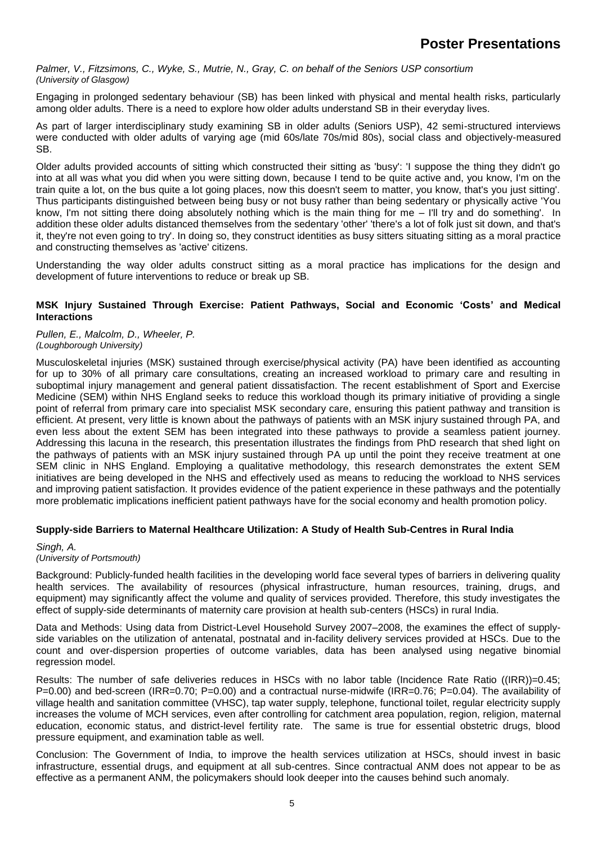*Palmer, V., Fitzsimons, C., Wyke, S., Mutrie, N., Gray, C. on behalf of the Seniors USP consortium (University of Glasgow)*

Engaging in prolonged sedentary behaviour (SB) has been linked with physical and mental health risks, particularly among older adults. There is a need to explore how older adults understand SB in their everyday lives.

As part of larger interdisciplinary study examining SB in older adults (Seniors USP), 42 semi-structured interviews were conducted with older adults of varying age (mid 60s/late 70s/mid 80s), social class and objectively-measured SB.

Older adults provided accounts of sitting which constructed their sitting as 'busy': 'I suppose the thing they didn't go into at all was what you did when you were sitting down, because I tend to be quite active and, you know, I'm on the train quite a lot, on the bus quite a lot going places, now this doesn't seem to matter, you know, that's you just sitting'. Thus participants distinguished between being busy or not busy rather than being sedentary or physically active 'You know, I'm not sitting there doing absolutely nothing which is the main thing for me – I'll try and do something'. In addition these older adults distanced themselves from the sedentary 'other' 'there's a lot of folk just sit down, and that's it, they're not even going to try'. In doing so, they construct identities as busy sitters situating sitting as a moral practice and constructing themselves as 'active' citizens.

Understanding the way older adults construct sitting as a moral practice has implications for the design and development of future interventions to reduce or break up SB.

## **MSK Injury Sustained Through Exercise: Patient Pathways, Social and Economic 'Costs' and Medical Interactions**

*Pullen, E., Malcolm, D., Wheeler, P. (Loughborough University)*

Musculoskeletal injuries (MSK) sustained through exercise/physical activity (PA) have been identified as accounting for up to 30% of all primary care consultations, creating an increased workload to primary care and resulting in suboptimal injury management and general patient dissatisfaction. The recent establishment of Sport and Exercise Medicine (SEM) within NHS England seeks to reduce this workload though its primary initiative of providing a single point of referral from primary care into specialist MSK secondary care, ensuring this patient pathway and transition is efficient. At present, very little is known about the pathways of patients with an MSK injury sustained through PA, and even less about the extent SEM has been integrated into these pathways to provide a seamless patient journey. Addressing this lacuna in the research, this presentation illustrates the findings from PhD research that shed light on the pathways of patients with an MSK injury sustained through PA up until the point they receive treatment at one SEM clinic in NHS England. Employing a qualitative methodology, this research demonstrates the extent SEM initiatives are being developed in the NHS and effectively used as means to reducing the workload to NHS services and improving patient satisfaction. It provides evidence of the patient experience in these pathways and the potentially more problematic implications inefficient patient pathways have for the social economy and health promotion policy.

# **Supply-side Barriers to Maternal Healthcare Utilization: A Study of Health Sub-Centres in Rural India**

#### *Singh, A. (University of Portsmouth)*

Background: Publicly-funded health facilities in the developing world face several types of barriers in delivering quality health services. The availability of resources (physical infrastructure, human resources, training, drugs, and equipment) may significantly affect the volume and quality of services provided. Therefore, this study investigates the effect of supply-side determinants of maternity care provision at health sub-centers (HSCs) in rural India.

Data and Methods: Using data from District-Level Household Survey 2007–2008, the examines the effect of supplyside variables on the utilization of antenatal, postnatal and in-facility delivery services provided at HSCs. Due to the count and over-dispersion properties of outcome variables, data has been analysed using negative binomial regression model.

Results: The number of safe deliveries reduces in HSCs with no labor table (Incidence Rate Ratio ((IRR))=0.45; P=0.00) and bed-screen (IRR=0.70; P=0.00) and a contractual nurse-midwife (IRR=0.76; P=0.04). The availability of village health and sanitation committee (VHSC), tap water supply, telephone, functional toilet, regular electricity supply increases the volume of MCH services, even after controlling for catchment area population, region, religion, maternal education, economic status, and district-level fertility rate. The same is true for essential obstetric drugs, blood pressure equipment, and examination table as well.

Conclusion: The Government of India, to improve the health services utilization at HSCs, should invest in basic infrastructure, essential drugs, and equipment at all sub-centres. Since contractual ANM does not appear to be as effective as a permanent ANM, the policymakers should look deeper into the causes behind such anomaly.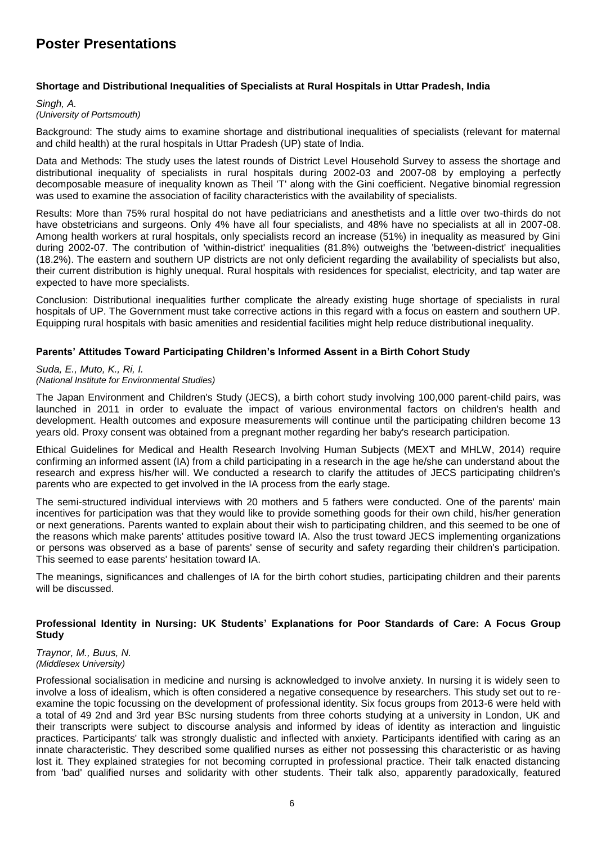# **Shortage and Distributional Inequalities of Specialists at Rural Hospitals in Uttar Pradesh, India**

#### *Singh, A. (University of Portsmouth)*

Background: The study aims to examine shortage and distributional inequalities of specialists (relevant for maternal and child health) at the rural hospitals in Uttar Pradesh (UP) state of India.

Data and Methods: The study uses the latest rounds of District Level Household Survey to assess the shortage and distributional inequality of specialists in rural hospitals during 2002-03 and 2007-08 by employing a perfectly decomposable measure of inequality known as Theil 'T' along with the Gini coefficient. Negative binomial regression was used to examine the association of facility characteristics with the availability of specialists.

Results: More than 75% rural hospital do not have pediatricians and anesthetists and a little over two-thirds do not have obstetricians and surgeons. Only 4% have all four specialists, and 48% have no specialists at all in 2007-08. Among health workers at rural hospitals, only specialists record an increase (51%) in inequality as measured by Gini during 2002-07. The contribution of 'within-district' inequalities (81.8%) outweighs the 'between-district' inequalities (18.2%). The eastern and southern UP districts are not only deficient regarding the availability of specialists but also, their current distribution is highly unequal. Rural hospitals with residences for specialist, electricity, and tap water are expected to have more specialists.

Conclusion: Distributional inequalities further complicate the already existing huge shortage of specialists in rural hospitals of UP. The Government must take corrective actions in this regard with a focus on eastern and southern UP. Equipping rural hospitals with basic amenities and residential facilities might help reduce distributional inequality.

# **Parents' Attitudes Toward Participating Children's Informed Assent in a Birth Cohort Study**

*Suda, E., Muto, K., Ri, I. (National Institute for Environmental Studies)*

The Japan Environment and Children's Study (JECS), a birth cohort study involving 100,000 parent-child pairs, was launched in 2011 in order to evaluate the impact of various environmental factors on children's health and development. Health outcomes and exposure measurements will continue until the participating children become 13 years old. Proxy consent was obtained from a pregnant mother regarding her baby's research participation.

Ethical Guidelines for Medical and Health Research Involving Human Subjects (MEXT and MHLW, 2014) require confirming an informed assent (IA) from a child participating in a research in the age he/she can understand about the research and express his/her will. We conducted a research to clarify the attitudes of JECS participating children's parents who are expected to get involved in the IA process from the early stage.

The semi-structured individual interviews with 20 mothers and 5 fathers were conducted. One of the parents' main incentives for participation was that they would like to provide something goods for their own child, his/her generation or next generations. Parents wanted to explain about their wish to participating children, and this seemed to be one of the reasons which make parents' attitudes positive toward IA. Also the trust toward JECS implementing organizations or persons was observed as a base of parents' sense of security and safety regarding their children's participation. This seemed to ease parents' hesitation toward IA.

The meanings, significances and challenges of IA for the birth cohort studies, participating children and their parents will be discussed.

# **Professional Identity in Nursing: UK Students' Explanations for Poor Standards of Care: A Focus Group Study**

*Traynor, M., Buus, N. (Middlesex University)*

Professional socialisation in medicine and nursing is acknowledged to involve anxiety. In nursing it is widely seen to involve a loss of idealism, which is often considered a negative consequence by researchers. This study set out to reexamine the topic focussing on the development of professional identity. Six focus groups from 2013-6 were held with a total of 49 2nd and 3rd year BSc nursing students from three cohorts studying at a university in London, UK and their transcripts were subject to discourse analysis and informed by ideas of identity as interaction and linguistic practices. Participants' talk was strongly dualistic and inflected with anxiety. Participants identified with caring as an innate characteristic. They described some qualified nurses as either not possessing this characteristic or as having lost it. They explained strategies for not becoming corrupted in professional practice. Their talk enacted distancing from 'bad' qualified nurses and solidarity with other students. Their talk also, apparently paradoxically, featured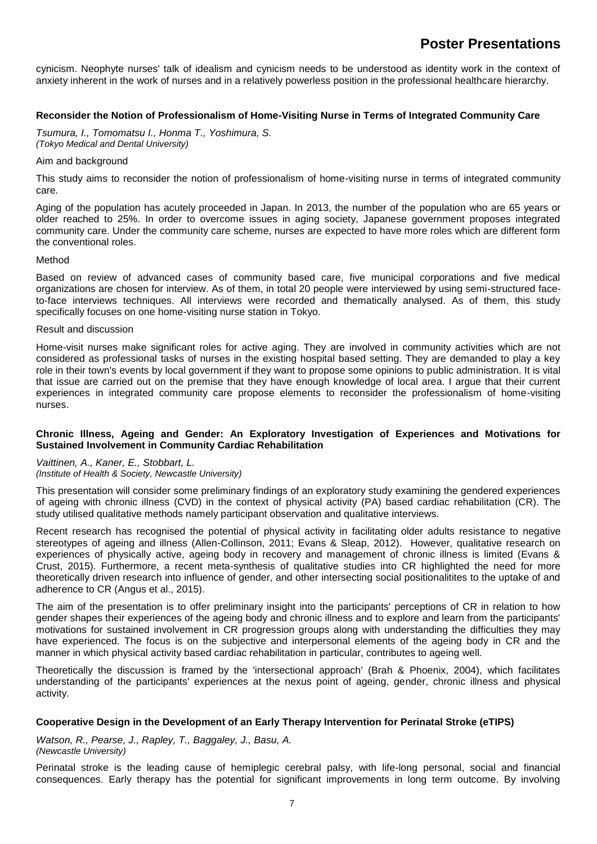cynicism. Neophyte nurses' talk of idealism and cynicism needs to be understood as identity work in the context of anxiety inherent in the work of nurses and in a relatively powerless position in the professional healthcare hierarchy.

# **Reconsider the Notion of Professionalism of Home-Visiting Nurse in Terms of Integrated Community Care**

*Tsumura, I., Tomomatsu I., Honma T., Yoshimura, S. (Tokyo Medical and Dental University)*

#### Aim and background

This study aims to reconsider the notion of professionalism of home-visiting nurse in terms of integrated community care.

Aging of the population has acutely proceeded in Japan. In 2013, the number of the population who are 65 years or older reached to 25%. In order to overcome issues in aging society, Japanese government proposes integrated community care. Under the community care scheme, nurses are expected to have more roles which are different form the conventional roles.

#### Method

Based on review of advanced cases of community based care, five municipal corporations and five medical organizations are chosen for interview. As of them, in total 20 people were interviewed by using semi-structured faceto-face interviews techniques. All interviews were recorded and thematically analysed. As of them, this study specifically focuses on one home-visiting nurse station in Tokyo.

#### Result and discussion

Home-visit nurses make significant roles for active aging. They are involved in community activities which are not considered as professional tasks of nurses in the existing hospital based setting. They are demanded to play a key role in their town's events by local government if they want to propose some opinions to public administration. It is vital that issue are carried out on the premise that they have enough knowledge of local area. I argue that their current experiences in integrated community care propose elements to reconsider the professionalism of home-visiting nurses.

#### **Chronic Illness, Ageing and Gender: An Exploratory Investigation of Experiences and Motivations for Sustained Involvement in Community Cardiac Rehabilitation**

# *Vaittinen, A., Kaner, E., Stobbart, L.*

*(Institute of Health & Society, Newcastle University)*

This presentation will consider some preliminary findings of an exploratory study examining the gendered experiences of ageing with chronic illness (CVD) in the context of physical activity (PA) based cardiac rehabilitation (CR). The study utilised qualitative methods namely participant observation and qualitative interviews.

Recent research has recognised the potential of physical activity in facilitating older adults resistance to negative stereotypes of ageing and illness (Allen-Collinson, 2011; Evans & Sleap, 2012). However, qualitative research on experiences of physically active, ageing body in recovery and management of chronic illness is limited (Evans & Crust, 2015). Furthermore, a recent meta-synthesis of qualitative studies into CR highlighted the need for more theoretically driven research into influence of gender, and other intersecting social positionalitites to the uptake of and adherence to CR (Angus et al., 2015).

The aim of the presentation is to offer preliminary insight into the participants' perceptions of CR in relation to how gender shapes their experiences of the ageing body and chronic illness and to explore and learn from the participants' motivations for sustained involvement in CR progression groups along with understanding the difficulties they may have experienced. The focus is on the subjective and interpersonal elements of the ageing body in CR and the manner in which physical activity based cardiac rehabilitation in particular, contributes to ageing well.

Theoretically the discussion is framed by the 'intersectional approach' (Brah & Phoenix, 2004), which facilitates understanding of the participants' experiences at the nexus point of ageing, gender, chronic illness and physical activity.

# **Cooperative Design in the Development of an Early Therapy Intervention for Perinatal Stroke (eTIPS)**

*Watson, R., Pearse, J., Rapley, T., Baggaley, J., Basu, A. (Newcastle University)*

Perinatal stroke is the leading cause of hemiplegic cerebral palsy, with life-long personal, social and financial consequences. Early therapy has the potential for significant improvements in long term outcome. By involving